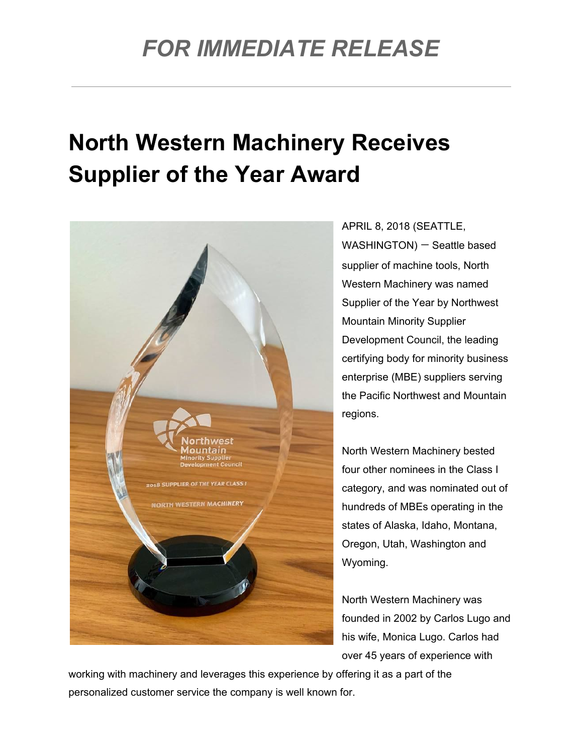## *FOR IMMEDIATE RELEASE*

## **North Western Machinery Receives Supplier of the Year Award**



APRIL 8, 2018 (SEATTLE, WASHINGTON) — Seattle based supplier of machine tools, North Western Machinery was named Supplier of the Year by Northwest Mountain Minority Supplier Development Council, the leading certifying body for minority business enterprise (MBE) suppliers serving the Pacific Northwest and Mountain regions.

North Western Machinery bested four other nominees in the Class I category, and was nominated out of hundreds of MBEs operating in the states of Alaska, Idaho, Montana, Oregon, Utah, Washington and Wyoming.

North Western Machinery was founded in 2002 by Carlos Lugo and his wife, Monica Lugo. Carlos had over 45 years of experience with

working with machinery and leverages this experience by offering it as a part of the personalized customer service the company is well known for.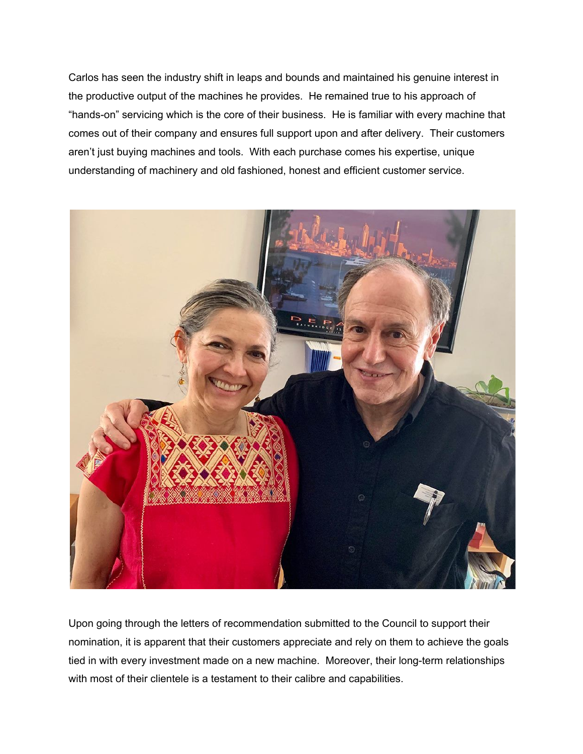Carlos has seen the industry shift in leaps and bounds and maintained his genuine interest in the productive output of the machines he provides. He remained true to his approach of "hands-on" servicing which is the core of their business. He is familiar with every machine that comes out of their company and ensures full support upon and after delivery. Their customers aren't just buying machines and tools. With each purchase comes his expertise, unique understanding of machinery and old fashioned, honest and efficient customer service.



Upon going through the letters of recommendation submitted to the Council to support their nomination, it is apparent that their customers appreciate and rely on them to achieve the goals tied in with every investment made on a new machine. Moreover, their long-term relationships with most of their clientele is a testament to their calibre and capabilities.